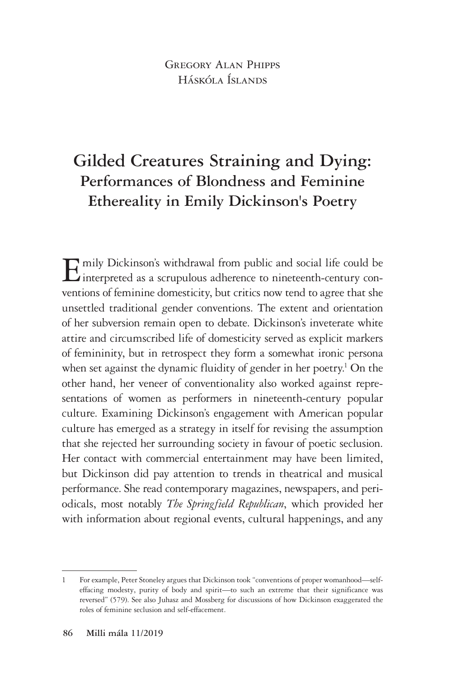### GREGORY ALAN PHIPPS Háskóla Íslands

# **Gilded Creatures Straining and Dying: Performances of Blondness and Feminine Ethereality in Emily Dickinson's Poetry**

Emily Dickinson's withdrawal from public and social life could be interpreted as a scrupulous adherence to nineteenth-century conventions of feminine domesticity, but critics now tend to agree that she unsettled traditional gender conventions. The extent and orientation of her subversion remain open to debate. Dickinson's inveterate white attire and circumscribed life of domesticity served as explicit markers of femininity, but in retrospect they form a somewhat ironic persona when set against the dynamic fluidity of gender in her poetry.<sup>1</sup> On the other hand, her veneer of conventionality also worked against representations of women as performers in nineteenth-century popular culture. Examining Dickinson's engagement with American popular culture has emerged as a strategy in itself for revising the assumption that she rejected her surrounding society in favour of poetic seclusion. Her contact with commercial entertainment may have been limited, but Dickinson did pay attention to trends in theatrical and musical performance. She read contemporary magazines, newspapers, and periodicals, most notably *The Springfield Republican*, which provided her with information about regional events, cultural happenings, and any

<sup>1</sup> For example, Peter Stoneley argues that Dickinson took "conventions of proper womanhood—selfeffacing modesty, purity of body and spirit—to such an extreme that their significance was reversed" (579). See also Juhasz and Mossberg for discussions of how Dickinson exaggerated the roles of feminine seclusion and self-effacement.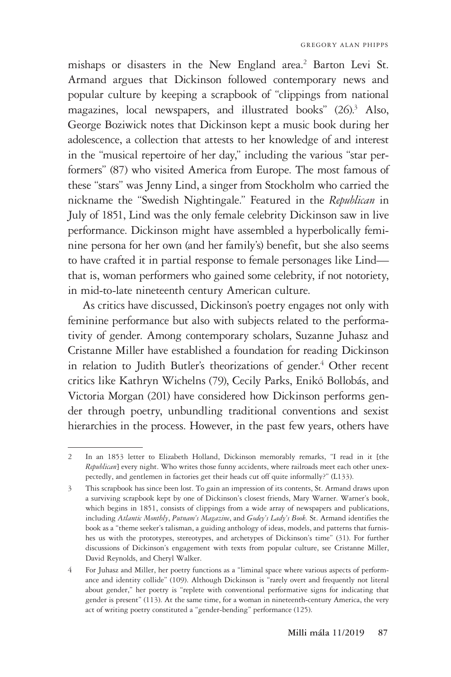mishaps or disasters in the New England area.<sup>2</sup> Barton Levi St. Armand argues that Dickinson followed contemporary news and popular culture by keeping a scrapbook of "clippings from national magazines, local newspapers, and illustrated books" (26).<sup>3</sup> Also, George Boziwick notes that Dickinson kept a music book during her adolescence, a collection that attests to her knowledge of and interest in the "musical repertoire of her day," including the various "star performers" (87) who visited America from Europe. The most famous of these "stars" was Jenny Lind, a singer from Stockholm who carried the nickname the "Swedish Nightingale." Featured in the *Republican* in July of 1851, Lind was the only female celebrity Dickinson saw in live performance. Dickinson might have assembled a hyperbolically feminine persona for her own (and her family's) benefit, but she also seems to have crafted it in partial response to female personages like Lind that is, woman performers who gained some celebrity, if not notoriety, in mid-to-late nineteenth century American culture.

As critics have discussed, Dickinson's poetry engages not only with feminine performance but also with subjects related to the performativity of gender. Among contemporary scholars, Suzanne Juhasz and Cristanne Miller have established a foundation for reading Dickinson in relation to Judith Butler's theorizations of gender.<sup>4</sup> Other recent critics like Kathryn Wichelns (79), Cecily Parks, Enikő Bollobás, and Victoria Morgan (201) have considered how Dickinson performs gender through poetry, unbundling traditional conventions and sexist hierarchies in the process. However, in the past few years, others have

<sup>2</sup> In an 1853 letter to Elizabeth Holland, Dickinson memorably remarks, "I read in it [the *Republican*] every night. Who writes those funny accidents, where railroads meet each other unexpectedly, and gentlemen in factories get their heads cut off quite informally?" (L133).

<sup>3</sup> This scrapbook has since been lost. To gain an impression of its contents, St. Armand draws upon a surviving scrapbook kept by one of Dickinson's closest friends, Mary Warner. Warner's book, which begins in 1851, consists of clippings from a wide array of newspapers and publications, including *Atlantic Monthly*, *Putnam's Magazine*, and *Godey's Lady's Book.* St. Armand identifies the book as a "theme seeker's talisman, a guiding anthology of ideas, models, and patterns that furnishes us with the prototypes, stereotypes, and archetypes of Dickinson's time" (31). For further discussions of Dickinson's engagement with texts from popular culture, see Cristanne Miller, David Reynolds, and Cheryl Walker.

<sup>4</sup> For Juhasz and Miller, her poetry functions as a "liminal space where various aspects of performance and identity collide" (109). Although Dickinson is "rarely overt and frequently not literal about gender," her poetry is "replete with conventional performative signs for indicating that gender is present" (113). At the same time, for a woman in nineteenth-century America, the very act of writing poetry constituted a "gender-bending" performance (125).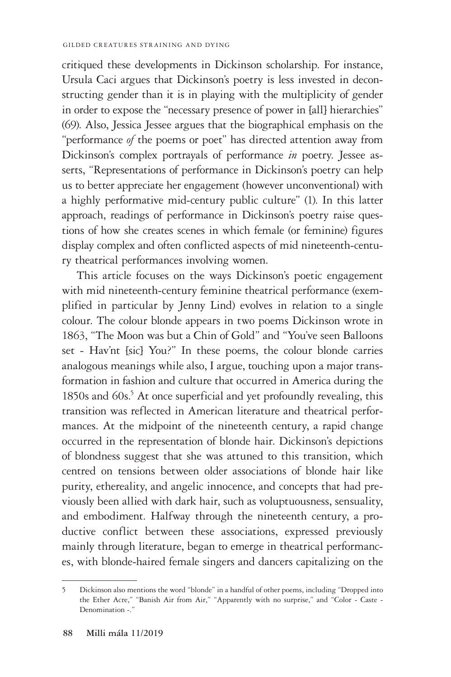critiqued these developments in Dickinson scholarship. For instance, Ursula Caci argues that Dickinson's poetry is less invested in deconstructing gender than it is in playing with the multiplicity of gender in order to expose the "necessary presence of power in [all] hierarchies" (69). Also, Jessica Jessee argues that the biographical emphasis on the "performance *of* the poems or poet" has directed attention away from Dickinson's complex portrayals of performance *in* poetry. Jessee asserts, "Representations of performance in Dickinson's poetry can help us to better appreciate her engagement (however unconventional) with a highly performative mid-century public culture" (1). In this latter approach, readings of performance in Dickinson's poetry raise questions of how she creates scenes in which female (or feminine) figures display complex and often conflicted aspects of mid nineteenth-century theatrical performances involving women.

This article focuses on the ways Dickinson's poetic engagement with mid nineteenth-century feminine theatrical performance (exemplified in particular by Jenny Lind) evolves in relation to a single colour. The colour blonde appears in two poems Dickinson wrote in 1863, "The Moon was but a Chin of Gold" and "You've seen Balloons set - Hav'nt [sic] You?" In these poems, the colour blonde carries analogous meanings while also, I argue, touching upon a major transformation in fashion and culture that occurred in America during the 1850s and 60s.<sup>5</sup> At once superficial and yet profoundly revealing, this transition was reflected in American literature and theatrical performances. At the midpoint of the nineteenth century, a rapid change occurred in the representation of blonde hair. Dickinson's depictions of blondness suggest that she was attuned to this transition, which centred on tensions between older associations of blonde hair like purity, ethereality, and angelic innocence, and concepts that had previously been allied with dark hair, such as voluptuousness, sensuality, and embodiment. Halfway through the nineteenth century, a productive conflict between these associations, expressed previously mainly through literature, began to emerge in theatrical performances, with blonde-haired female singers and dancers capitalizing on the

<sup>5</sup> Dickinson also mentions the word "blonde" in a handful of other poems, including "Dropped into the Ether Acre," "Banish Air from Air," "Apparently with no surprise," and "Color - Caste - Denomination -."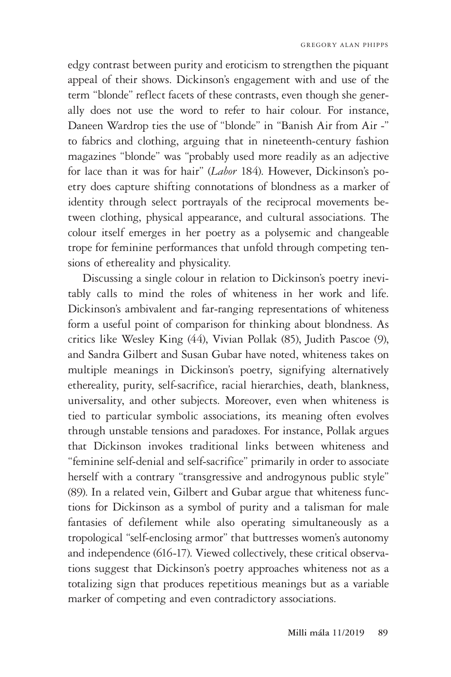edgy contrast between purity and eroticism to strengthen the piquant appeal of their shows. Dickinson's engagement with and use of the term "blonde" reflect facets of these contrasts, even though she generally does not use the word to refer to hair colour. For instance, Daneen Wardrop ties the use of "blonde" in "Banish Air from Air -" to fabrics and clothing, arguing that in nineteenth-century fashion magazines "blonde" was "probably used more readily as an adjective for lace than it was for hair" (*Labor* 184). However, Dickinson's poetry does capture shifting connotations of blondness as a marker of identity through select portrayals of the reciprocal movements between clothing, physical appearance, and cultural associations. The colour itself emerges in her poetry as a polysemic and changeable trope for feminine performances that unfold through competing tensions of ethereality and physicality.

Discussing a single colour in relation to Dickinson's poetry inevitably calls to mind the roles of whiteness in her work and life. Dickinson's ambivalent and far-ranging representations of whiteness form a useful point of comparison for thinking about blondness. As critics like Wesley King (44), Vivian Pollak (85), Judith Pascoe (9), and Sandra Gilbert and Susan Gubar have noted, whiteness takes on multiple meanings in Dickinson's poetry, signifying alternatively ethereality, purity, self-sacrifice, racial hierarchies, death, blankness, universality, and other subjects. Moreover, even when whiteness is tied to particular symbolic associations, its meaning often evolves through unstable tensions and paradoxes. For instance, Pollak argues that Dickinson invokes traditional links between whiteness and "feminine self-denial and self-sacrifice" primarily in order to associate herself with a contrary "transgressive and androgynous public style" (89). In a related vein, Gilbert and Gubar argue that whiteness functions for Dickinson as a symbol of purity and a talisman for male fantasies of defilement while also operating simultaneously as a tropological "self-enclosing armor" that buttresses women's autonomy and independence (616-17). Viewed collectively, these critical observations suggest that Dickinson's poetry approaches whiteness not as a totalizing sign that produces repetitious meanings but as a variable marker of competing and even contradictory associations.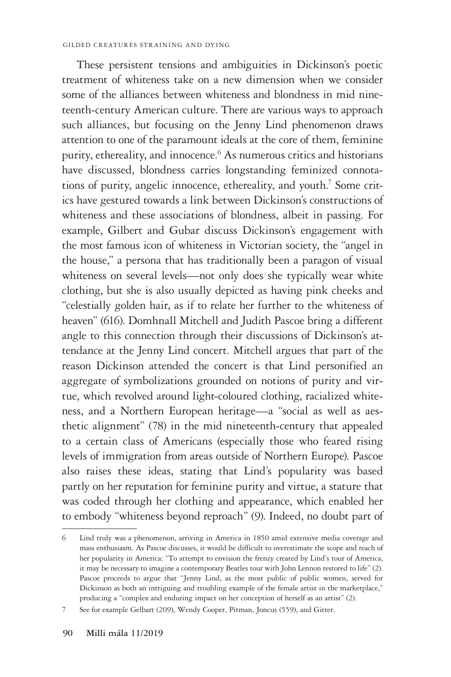These persistent tensions and ambiguities in Dickinson's poetic treatment of whiteness take on a new dimension when we consider some of the alliances between whiteness and blondness in mid nineteenth-century American culture. There are various ways to approach such alliances, but focusing on the Jenny Lind phenomenon draws attention to one of the paramount ideals at the core of them, feminine purity, ethereality, and innocence.<sup>6</sup> As numerous critics and historians have discussed, blondness carries longstanding feminized connotations of purity, angelic innocence, ethereality, and youth.<sup>7</sup> Some critics have gestured towards a link between Dickinson's constructions of whiteness and these associations of blondness, albeit in passing. For example, Gilbert and Gubar discuss Dickinson's engagement with the most famous icon of whiteness in Victorian society, the "angel in the house," a persona that has traditionally been a paragon of visual whiteness on several levels—not only does she typically wear white clothing, but she is also usually depicted as having pink cheeks and "celestially golden hair, as if to relate her further to the whiteness of heaven" (616). Domhnall Mitchell and Judith Pascoe bring a different angle to this connection through their discussions of Dickinson's attendance at the Jenny Lind concert. Mitchell argues that part of the reason Dickinson attended the concert is that Lind personified an aggregate of symbolizations grounded on notions of purity and virtue, which revolved around light-coloured clothing, racialized whiteness, and a Northern European heritage—a "social as well as aesthetic alignment" (78) in the mid nineteenth-century that appealed to a certain class of Americans (especially those who feared rising levels of immigration from areas outside of Northern Europe). Pascoe also raises these ideas, stating that Lind's popularity was based partly on her reputation for feminine purity and virtue, a stature that was coded through her clothing and appearance, which enabled her to embody "whiteness beyond reproach" (9). Indeed, no doubt part of

<sup>6</sup> Lind truly was a phenomenon, arriving in America in 1850 amid extensive media coverage and mass enthusiasm. As Pascoe discusses, it would be difficult to overestimate the scope and reach of her popularity in America: "To attempt to envision the frenzy created by Lind's tour of America, it may be necessary to imagine a contemporary Beatles tour with John Lennon restored to life" (2). Pascoe proceeds to argue that "Jenny Lind, as the most public of public women, served for Dickinson as both an intriguing and troubling example of the female artist in the marketplace," producing a "complex and enduring impact on her conception of herself as an artist" (2).

<sup>7</sup> See for example Gelbart (209), Wendy Cooper, Pitman, Joncus (559), and Gitter.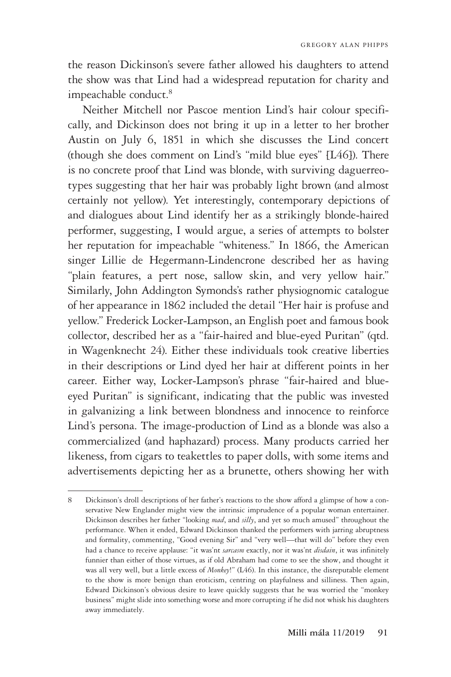the reason Dickinson's severe father allowed his daughters to attend the show was that Lind had a widespread reputation for charity and impeachable conduct.<sup>8</sup>

Neither Mitchell nor Pascoe mention Lind's hair colour specifically, and Dickinson does not bring it up in a letter to her brother Austin on July 6, 1851 in which she discusses the Lind concert (though she does comment on Lind's "mild blue eyes" [L46]). There is no concrete proof that Lind was blonde, with surviving daguerreotypes suggesting that her hair was probably light brown (and almost certainly not yellow). Yet interestingly, contemporary depictions of and dialogues about Lind identify her as a strikingly blonde-haired performer, suggesting, I would argue, a series of attempts to bolster her reputation for impeachable "whiteness." In 1866, the American singer Lillie de Hegermann-Lindencrone described her as having "plain features, a pert nose, sallow skin, and very yellow hair." Similarly, John Addington Symonds's rather physiognomic catalogue of her appearance in 1862 included the detail "Her hair is profuse and yellow." Frederick Locker-Lampson, an English poet and famous book collector, described her as a "fair-haired and blue-eyed Puritan" (qtd. in Wagenknecht 24). Either these individuals took creative liberties in their descriptions or Lind dyed her hair at different points in her career. Either way, Locker-Lampson's phrase "fair-haired and blueeyed Puritan" is significant, indicating that the public was invested in galvanizing a link between blondness and innocence to reinforce Lind's persona. The image-production of Lind as a blonde was also a commercialized (and haphazard) process. Many products carried her likeness, from cigars to teakettles to paper dolls, with some items and advertisements depicting her as a brunette, others showing her with

<sup>8</sup> Dickinson's droll descriptions of her father's reactions to the show afford a glimpse of how a conservative New Englander might view the intrinsic imprudence of a popular woman entertainer. Dickinson describes her father "looking *mad*, and *silly*, and yet so much amused" throughout the performance. When it ended, Edward Dickinson thanked the performers with jarring abruptness and formality, commenting, "Good evening Sir" and "very well—that will do" before they even had a chance to receive applause: "it was'nt *sarcasm* exactly, nor it was'nt *disdain*, it was infinitely funnier than either of those virtues, as if old Abraham had come to see the show, and thought it was all very well, but a little excess of *Monkey*!" (L46). In this instance, the disreputable element to the show is more benign than eroticism, centring on playfulness and silliness. Then again, Edward Dickinson's obvious desire to leave quickly suggests that he was worried the "monkey business" might slide into something worse and more corrupting if he did not whisk his daughters away immediately.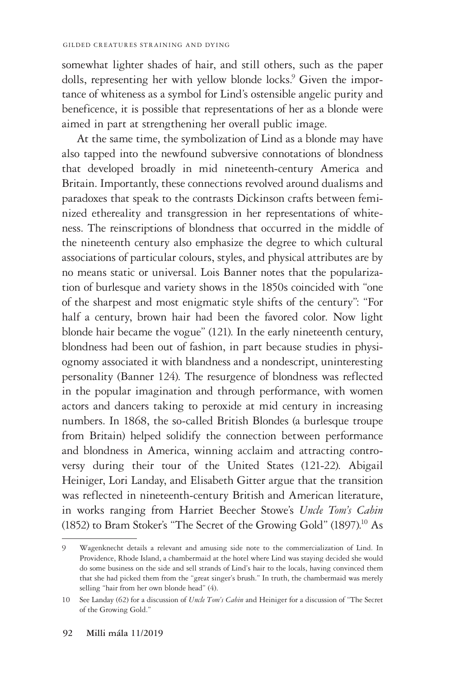somewhat lighter shades of hair, and still others, such as the paper dolls, representing her with yellow blonde locks.<sup>9</sup> Given the importance of whiteness as a symbol for Lind's ostensible angelic purity and beneficence, it is possible that representations of her as a blonde were aimed in part at strengthening her overall public image.

At the same time, the symbolization of Lind as a blonde may have also tapped into the newfound subversive connotations of blondness that developed broadly in mid nineteenth-century America and Britain. Importantly, these connections revolved around dualisms and paradoxes that speak to the contrasts Dickinson crafts between feminized ethereality and transgression in her representations of whiteness. The reinscriptions of blondness that occurred in the middle of the nineteenth century also emphasize the degree to which cultural associations of particular colours, styles, and physical attributes are by no means static or universal. Lois Banner notes that the popularization of burlesque and variety shows in the 1850s coincided with "one of the sharpest and most enigmatic style shifts of the century": "For half a century, brown hair had been the favored color. Now light blonde hair became the vogue" (121). In the early nineteenth century, blondness had been out of fashion, in part because studies in physiognomy associated it with blandness and a nondescript, uninteresting personality (Banner 124). The resurgence of blondness was reflected in the popular imagination and through performance, with women actors and dancers taking to peroxide at mid century in increasing numbers. In 1868, the so-called British Blondes (a burlesque troupe from Britain) helped solidify the connection between performance and blondness in America, winning acclaim and attracting controversy during their tour of the United States (121-22). Abigail Heiniger, Lori Landay, and Elisabeth Gitter argue that the transition was reflected in nineteenth-century British and American literature, in works ranging from Harriet Beecher Stowe's *Uncle Tom's Cabin* (1852) to Bram Stoker's "The Secret of the Growing Gold" (1897).<sup>10</sup> As

<sup>9</sup> Wagenknecht details a relevant and amusing side note to the commercialization of Lind. In Providence, Rhode Island, a chambermaid at the hotel where Lind was staying decided she would do some business on the side and sell strands of Lind's hair to the locals, having convinced them that she had picked them from the "great singer's brush." In truth, the chambermaid was merely selling "hair from her own blonde head" (4).

<sup>10</sup> See Landay (62) for a discussion of *Uncle Tom's Cabin* and Heiniger for a discussion of "The Secret of the Growing Gold."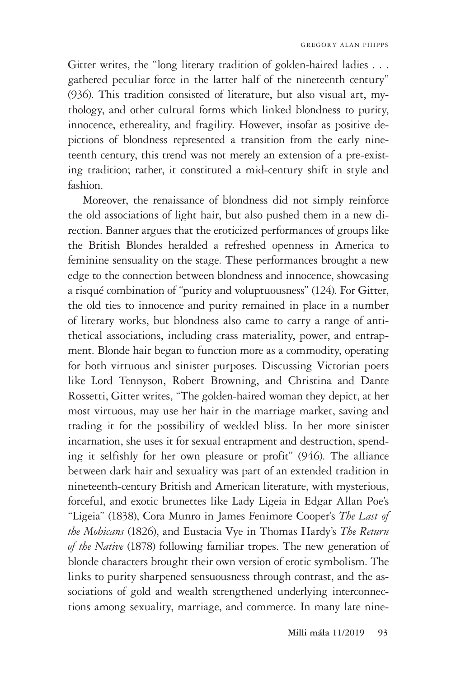Gitter writes, the "long literary tradition of golden-haired ladies . . . gathered peculiar force in the latter half of the nineteenth century" (936). This tradition consisted of literature, but also visual art, mythology, and other cultural forms which linked blondness to purity, innocence, ethereality, and fragility. However, insofar as positive depictions of blondness represented a transition from the early nineteenth century, this trend was not merely an extension of a pre-existing tradition; rather, it constituted a mid-century shift in style and fashion.

Moreover, the renaissance of blondness did not simply reinforce the old associations of light hair, but also pushed them in a new direction. Banner argues that the eroticized performances of groups like the British Blondes heralded a refreshed openness in America to feminine sensuality on the stage. These performances brought a new edge to the connection between blondness and innocence, showcasing a risqué combination of "purity and voluptuousness" (124). For Gitter, the old ties to innocence and purity remained in place in a number of literary works, but blondness also came to carry a range of antithetical associations, including crass materiality, power, and entrapment. Blonde hair began to function more as a commodity, operating for both virtuous and sinister purposes. Discussing Victorian poets like Lord Tennyson, Robert Browning, and Christina and Dante Rossetti, Gitter writes, "The golden-haired woman they depict, at her most virtuous, may use her hair in the marriage market, saving and trading it for the possibility of wedded bliss. In her more sinister incarnation, she uses it for sexual entrapment and destruction, spending it selfishly for her own pleasure or profit" (946). The alliance between dark hair and sexuality was part of an extended tradition in nineteenth-century British and American literature, with mysterious, forceful, and exotic brunettes like Lady Ligeia in Edgar Allan Poe's "Ligeia" (1838), Cora Munro in James Fenimore Cooper's *The Last of the Mohicans* (1826), and Eustacia Vye in Thomas Hardy's *The Return of the Native* (1878) following familiar tropes. The new generation of blonde characters brought their own version of erotic symbolism. The links to purity sharpened sensuousness through contrast, and the associations of gold and wealth strengthened underlying interconnections among sexuality, marriage, and commerce. In many late nine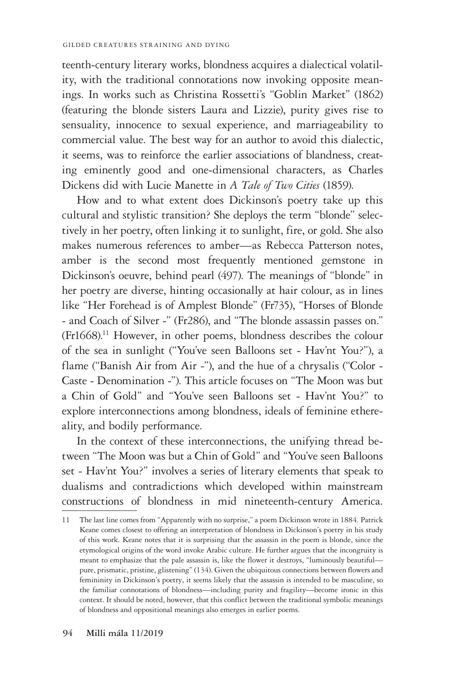teenth-century literary works, blondness acquires a dialectical volatility, with the traditional connotations now invoking opposite meanings. In works such as Christina Rossetti's "Goblin Market" (1862) (featuring the blonde sisters Laura and Lizzie), purity gives rise to sensuality, innocence to sexual experience, and marriageability to commercial value. The best way for an author to avoid this dialectic, it seems, was to reinforce the earlier associations of blandness, creating eminently good and one-dimensional characters, as Charles Dickens did with Lucie Manette in *A Tale of Two Cities* (1859).

How and to what extent does Dickinson's poetry take up this cultural and stylistic transition? She deploys the term "blonde" selectively in her poetry, often linking it to sunlight, fire, or gold. She also makes numerous references to amber—as Rebecca Patterson notes, amber is the second most frequently mentioned gemstone in Dickinson's oeuvre, behind pearl (497). The meanings of "blonde" in her poetry are diverse, hinting occasionally at hair colour, as in lines like "Her Forehead is of Amplest Blonde" (Fr735), "Horses of Blonde - and Coach of Silver -" (Fr286), and "The blonde assassin passes on." (Fr1668).11 However, in other poems, blondness describes the colour of the sea in sunlight ("You've seen Balloons set - Hav'nt You?"), a flame ("Banish Air from Air -"), and the hue of a chrysalis ("Color - Caste - Denomination -"). This article focuses on "The Moon was but a Chin of Gold" and "You've seen Balloons set - Hav'nt You?" to explore interconnections among blondness, ideals of feminine ethereality, and bodily performance.

In the context of these interconnections, the unifying thread between "The Moon was but a Chin of Gold" and "You've seen Balloons set - Hav'nt You?" involves a series of literary elements that speak to dualisms and contradictions which developed within mainstream constructions of blondness in mid nineteenth-century America.

<sup>11</sup> The last line comes from "Apparently with no surprise," a poem Dickinson wrote in 1884. Patrick Keane comes closest to offering an interpretation of blondness in Dickinson's poetry in his study of this work. Keane notes that it is surprising that the assassin in the poem is blonde, since the etymological origins of the word invoke Arabic culture. He further argues that the incongruity is meant to emphasize that the pale assassin is, like the flower it destroys, "luminously beautiful pure, prismatic, pristine, glistening" (134). Given the ubiquitous connections between flowers and femininity in Dickinson's poetry, it seems likely that the assassin is intended to be masculine, so the familiar connotations of blondness—including purity and fragility—become ironic in this context. It should be noted, however, that this conflict between the traditional symbolic meanings of blondness and oppositional meanings also emerges in earlier poems.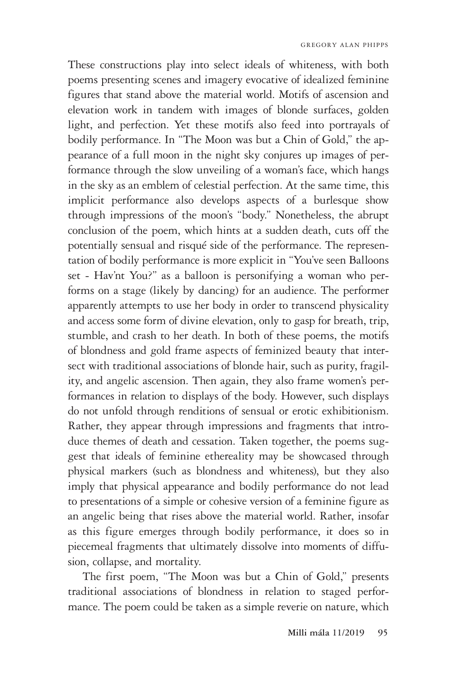These constructions play into select ideals of whiteness, with both poems presenting scenes and imagery evocative of idealized feminine figures that stand above the material world. Motifs of ascension and elevation work in tandem with images of blonde surfaces, golden light, and perfection. Yet these motifs also feed into portrayals of bodily performance. In "The Moon was but a Chin of Gold," the appearance of a full moon in the night sky conjures up images of performance through the slow unveiling of a woman's face, which hangs in the sky as an emblem of celestial perfection. At the same time, this implicit performance also develops aspects of a burlesque show through impressions of the moon's "body." Nonetheless, the abrupt conclusion of the poem, which hints at a sudden death, cuts off the potentially sensual and risqué side of the performance. The representation of bodily performance is more explicit in "You've seen Balloons set - Hav'nt You?" as a balloon is personifying a woman who performs on a stage (likely by dancing) for an audience. The performer apparently attempts to use her body in order to transcend physicality and access some form of divine elevation, only to gasp for breath, trip, stumble, and crash to her death. In both of these poems, the motifs of blondness and gold frame aspects of feminized beauty that intersect with traditional associations of blonde hair, such as purity, fragility, and angelic ascension. Then again, they also frame women's performances in relation to displays of the body. However, such displays do not unfold through renditions of sensual or erotic exhibitionism. Rather, they appear through impressions and fragments that introduce themes of death and cessation. Taken together, the poems suggest that ideals of feminine ethereality may be showcased through physical markers (such as blondness and whiteness), but they also imply that physical appearance and bodily performance do not lead to presentations of a simple or cohesive version of a feminine figure as an angelic being that rises above the material world. Rather, insofar as this figure emerges through bodily performance, it does so in piecemeal fragments that ultimately dissolve into moments of diffusion, collapse, and mortality.

The first poem, "The Moon was but a Chin of Gold," presents traditional associations of blondness in relation to staged performance. The poem could be taken as a simple reverie on nature, which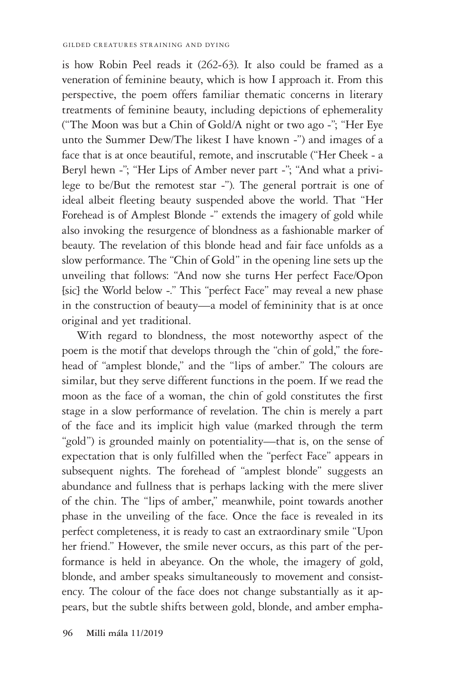is how Robin Peel reads it (262-63). It also could be framed as a veneration of feminine beauty, which is how I approach it. From this perspective, the poem offers familiar thematic concerns in literary treatments of feminine beauty, including depictions of ephemerality ("The Moon was but a Chin of Gold/A night or two ago -"; "Her Eye unto the Summer Dew/The likest I have known -") and images of a face that is at once beautiful, remote, and inscrutable ("Her Cheek - a Beryl hewn -"; "Her Lips of Amber never part -"; "And what a privilege to be/But the remotest star -"). The general portrait is one of ideal albeit fleeting beauty suspended above the world. That "Her Forehead is of Amplest Blonde -" extends the imagery of gold while also invoking the resurgence of blondness as a fashionable marker of beauty. The revelation of this blonde head and fair face unfolds as a slow performance. The "Chin of Gold" in the opening line sets up the unveiling that follows: "And now she turns Her perfect Face/Opon [sic] the World below -." This "perfect Face" may reveal a new phase in the construction of beauty—a model of femininity that is at once original and yet traditional.

With regard to blondness, the most noteworthy aspect of the poem is the motif that develops through the "chin of gold," the forehead of "amplest blonde," and the "lips of amber." The colours are similar, but they serve different functions in the poem. If we read the moon as the face of a woman, the chin of gold constitutes the first stage in a slow performance of revelation. The chin is merely a part of the face and its implicit high value (marked through the term "gold") is grounded mainly on potentiality—that is, on the sense of expectation that is only fulfilled when the "perfect Face" appears in subsequent nights. The forehead of "amplest blonde" suggests an abundance and fullness that is perhaps lacking with the mere sliver of the chin. The "lips of amber," meanwhile, point towards another phase in the unveiling of the face. Once the face is revealed in its perfect completeness, it is ready to cast an extraordinary smile "Upon her friend." However, the smile never occurs, as this part of the performance is held in abeyance. On the whole, the imagery of gold, blonde, and amber speaks simultaneously to movement and consistency. The colour of the face does not change substantially as it appears, but the subtle shifts between gold, blonde, and amber empha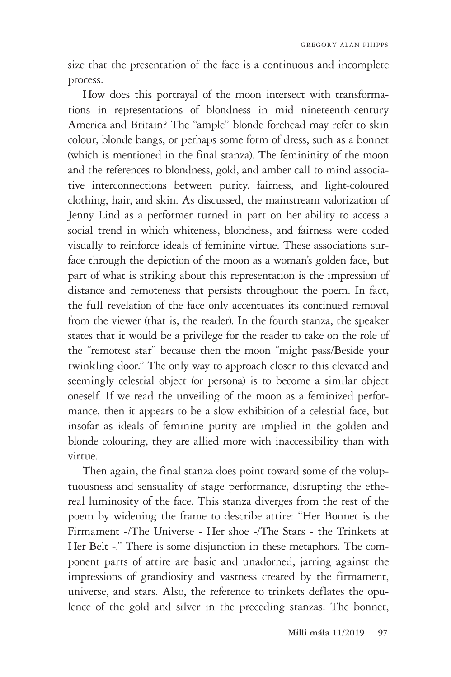size that the presentation of the face is a continuous and incomplete process.

How does this portrayal of the moon intersect with transformations in representations of blondness in mid nineteenth-century America and Britain? The "ample" blonde forehead may refer to skin colour, blonde bangs, or perhaps some form of dress, such as a bonnet (which is mentioned in the final stanza). The femininity of the moon and the references to blondness, gold, and amber call to mind associative interconnections between purity, fairness, and light-coloured clothing, hair, and skin. As discussed, the mainstream valorization of Jenny Lind as a performer turned in part on her ability to access a social trend in which whiteness, blondness, and fairness were coded visually to reinforce ideals of feminine virtue. These associations surface through the depiction of the moon as a woman's golden face, but part of what is striking about this representation is the impression of distance and remoteness that persists throughout the poem. In fact, the full revelation of the face only accentuates its continued removal from the viewer (that is, the reader). In the fourth stanza, the speaker states that it would be a privilege for the reader to take on the role of the "remotest star" because then the moon "might pass/Beside your twinkling door." The only way to approach closer to this elevated and seemingly celestial object (or persona) is to become a similar object oneself. If we read the unveiling of the moon as a feminized performance, then it appears to be a slow exhibition of a celestial face, but insofar as ideals of feminine purity are implied in the golden and blonde colouring, they are allied more with inaccessibility than with virtue.

Then again, the final stanza does point toward some of the voluptuousness and sensuality of stage performance, disrupting the ethereal luminosity of the face. This stanza diverges from the rest of the poem by widening the frame to describe attire: "Her Bonnet is the Firmament -/The Universe - Her shoe -/The Stars - the Trinkets at Her Belt -." There is some disjunction in these metaphors. The component parts of attire are basic and unadorned, jarring against the impressions of grandiosity and vastness created by the firmament, universe, and stars. Also, the reference to trinkets deflates the opulence of the gold and silver in the preceding stanzas. The bonnet,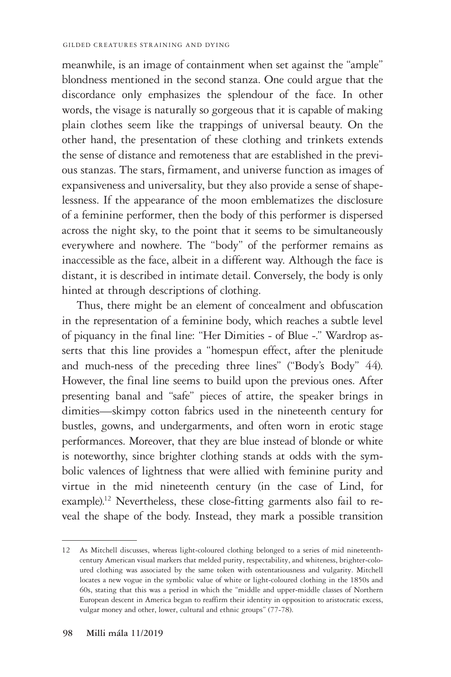meanwhile, is an image of containment when set against the "ample" blondness mentioned in the second stanza. One could argue that the discordance only emphasizes the splendour of the face. In other words, the visage is naturally so gorgeous that it is capable of making plain clothes seem like the trappings of universal beauty. On the other hand, the presentation of these clothing and trinkets extends the sense of distance and remoteness that are established in the previous stanzas. The stars, firmament, and universe function as images of expansiveness and universality, but they also provide a sense of shapelessness. If the appearance of the moon emblematizes the disclosure of a feminine performer, then the body of this performer is dispersed across the night sky, to the point that it seems to be simultaneously everywhere and nowhere. The "body" of the performer remains as inaccessible as the face, albeit in a different way. Although the face is distant, it is described in intimate detail. Conversely, the body is only hinted at through descriptions of clothing.

Thus, there might be an element of concealment and obfuscation in the representation of a feminine body, which reaches a subtle level of piquancy in the final line: "Her Dimities - of Blue -." Wardrop asserts that this line provides a "homespun effect, after the plenitude and much-ness of the preceding three lines" ("Body's Body" 44). However, the final line seems to build upon the previous ones. After presenting banal and "safe" pieces of attire, the speaker brings in dimities—skimpy cotton fabrics used in the nineteenth century for bustles, gowns, and undergarments, and often worn in erotic stage performances. Moreover, that they are blue instead of blonde or white is noteworthy, since brighter clothing stands at odds with the symbolic valences of lightness that were allied with feminine purity and virtue in the mid nineteenth century (in the case of Lind, for example).<sup>12</sup> Nevertheless, these close-fitting garments also fail to reveal the shape of the body. Instead, they mark a possible transition

<sup>12</sup> As Mitchell discusses, whereas light-coloured clothing belonged to a series of mid nineteenthcentury American visual markers that melded purity, respectability, and whiteness, brighter-coloured clothing was associated by the same token with ostentatiousness and vulgarity. Mitchell locates a new vogue in the symbolic value of white or light-coloured clothing in the 1850s and 60s, stating that this was a period in which the "middle and upper-middle classes of Northern European descent in America began to reaffirm their identity in opposition to aristocratic excess, vulgar money and other, lower, cultural and ethnic groups" (77-78).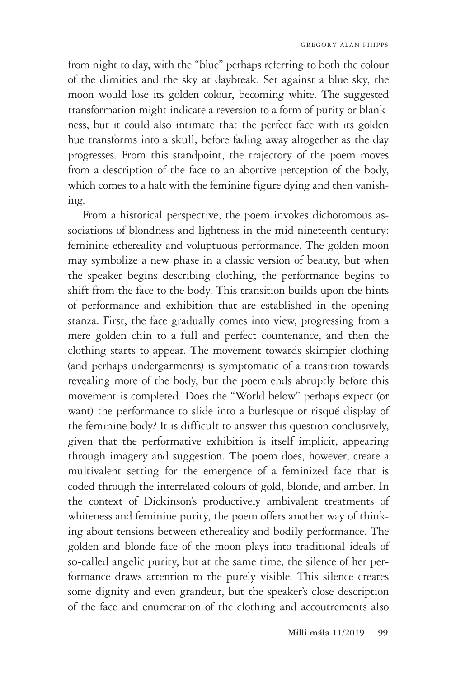from night to day, with the "blue" perhaps referring to both the colour of the dimities and the sky at daybreak. Set against a blue sky, the moon would lose its golden colour, becoming white. The suggested transformation might indicate a reversion to a form of purity or blankness, but it could also intimate that the perfect face with its golden hue transforms into a skull, before fading away altogether as the day progresses. From this standpoint, the trajectory of the poem moves from a description of the face to an abortive perception of the body, which comes to a halt with the feminine figure dying and then vanishing.

From a historical perspective, the poem invokes dichotomous associations of blondness and lightness in the mid nineteenth century: feminine ethereality and voluptuous performance. The golden moon may symbolize a new phase in a classic version of beauty, but when the speaker begins describing clothing, the performance begins to shift from the face to the body. This transition builds upon the hints of performance and exhibition that are established in the opening stanza. First, the face gradually comes into view, progressing from a mere golden chin to a full and perfect countenance, and then the clothing starts to appear. The movement towards skimpier clothing (and perhaps undergarments) is symptomatic of a transition towards revealing more of the body, but the poem ends abruptly before this movement is completed. Does the "World below" perhaps expect (or want) the performance to slide into a burlesque or risqué display of the feminine body? It is difficult to answer this question conclusively, given that the performative exhibition is itself implicit, appearing through imagery and suggestion. The poem does, however, create a multivalent setting for the emergence of a feminized face that is coded through the interrelated colours of gold, blonde, and amber. In the context of Dickinson's productively ambivalent treatments of whiteness and feminine purity, the poem offers another way of thinking about tensions between ethereality and bodily performance. The golden and blonde face of the moon plays into traditional ideals of so-called angelic purity, but at the same time, the silence of her performance draws attention to the purely visible. This silence creates some dignity and even grandeur, but the speaker's close description of the face and enumeration of the clothing and accoutrements also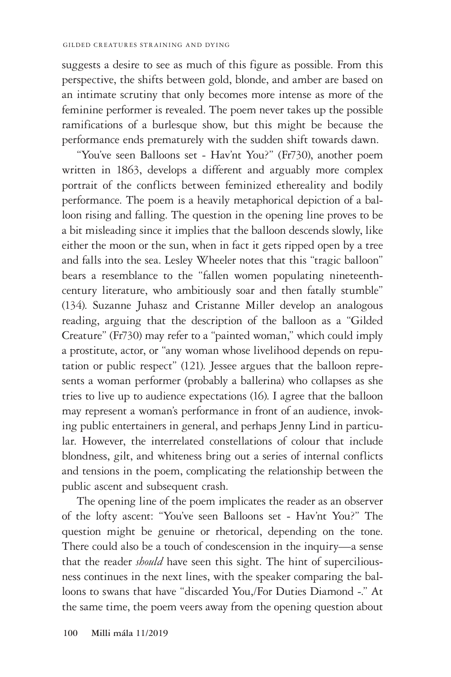suggests a desire to see as much of this figure as possible. From this perspective, the shifts between gold, blonde, and amber are based on an intimate scrutiny that only becomes more intense as more of the feminine performer is revealed. The poem never takes up the possible ramifications of a burlesque show, but this might be because the performance ends prematurely with the sudden shift towards dawn.

"You've seen Balloons set - Hav'nt You?" (Fr730), another poem written in 1863, develops a different and arguably more complex portrait of the conflicts between feminized ethereality and bodily performance. The poem is a heavily metaphorical depiction of a balloon rising and falling. The question in the opening line proves to be a bit misleading since it implies that the balloon descends slowly, like either the moon or the sun, when in fact it gets ripped open by a tree and falls into the sea. Lesley Wheeler notes that this "tragic balloon" bears a resemblance to the "fallen women populating nineteenthcentury literature, who ambitiously soar and then fatally stumble" (134). Suzanne Juhasz and Cristanne Miller develop an analogous reading, arguing that the description of the balloon as a "Gilded Creature" (Fr730) may refer to a "painted woman," which could imply a prostitute, actor, or "any woman whose livelihood depends on reputation or public respect" (121). Jessee argues that the balloon represents a woman performer (probably a ballerina) who collapses as she tries to live up to audience expectations (16). I agree that the balloon may represent a woman's performance in front of an audience, invoking public entertainers in general, and perhaps Jenny Lind in particular. However, the interrelated constellations of colour that include blondness, gilt, and whiteness bring out a series of internal conflicts and tensions in the poem, complicating the relationship between the public ascent and subsequent crash.

The opening line of the poem implicates the reader as an observer of the lofty ascent: "You've seen Balloons set - Hav'nt You?" The question might be genuine or rhetorical, depending on the tone. There could also be a touch of condescension in the inquiry—a sense that the reader *should* have seen this sight. The hint of superciliousness continues in the next lines, with the speaker comparing the balloons to swans that have "discarded You,/For Duties Diamond -." At the same time, the poem veers away from the opening question about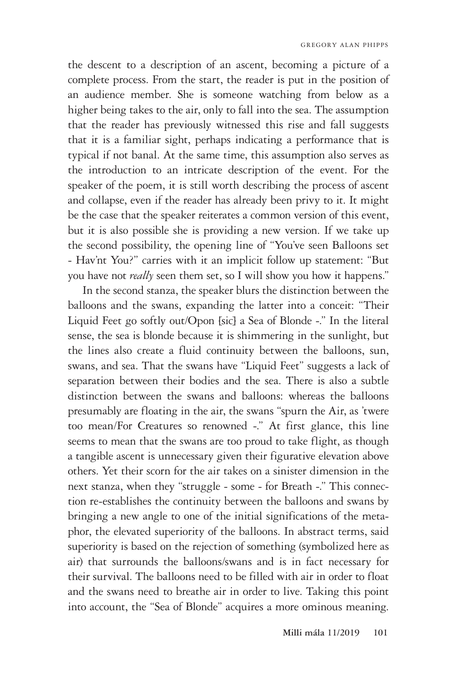the descent to a description of an ascent, becoming a picture of a complete process. From the start, the reader is put in the position of an audience member. She is someone watching from below as a higher being takes to the air, only to fall into the sea. The assumption that the reader has previously witnessed this rise and fall suggests that it is a familiar sight, perhaps indicating a performance that is typical if not banal. At the same time, this assumption also serves as the introduction to an intricate description of the event. For the speaker of the poem, it is still worth describing the process of ascent and collapse, even if the reader has already been privy to it. It might be the case that the speaker reiterates a common version of this event, but it is also possible she is providing a new version. If we take up the second possibility, the opening line of "You've seen Balloons set - Hav'nt You?" carries with it an implicit follow up statement: "But you have not *really* seen them set, so I will show you how it happens."

In the second stanza, the speaker blurs the distinction between the balloons and the swans, expanding the latter into a conceit: "Their Liquid Feet go softly out/Opon [sic] a Sea of Blonde -." In the literal sense, the sea is blonde because it is shimmering in the sunlight, but the lines also create a fluid continuity between the balloons, sun, swans, and sea. That the swans have "Liquid Feet" suggests a lack of separation between their bodies and the sea. There is also a subtle distinction between the swans and balloons: whereas the balloons presumably are floating in the air, the swans "spurn the Air, as 'twere too mean/For Creatures so renowned -." At first glance, this line seems to mean that the swans are too proud to take flight, as though a tangible ascent is unnecessary given their figurative elevation above others. Yet their scorn for the air takes on a sinister dimension in the next stanza, when they "struggle - some - for Breath -." This connection re-establishes the continuity between the balloons and swans by bringing a new angle to one of the initial significations of the metaphor, the elevated superiority of the balloons. In abstract terms, said superiority is based on the rejection of something (symbolized here as air) that surrounds the balloons/swans and is in fact necessary for their survival. The balloons need to be filled with air in order to float and the swans need to breathe air in order to live. Taking this point into account, the "Sea of Blonde" acquires a more ominous meaning.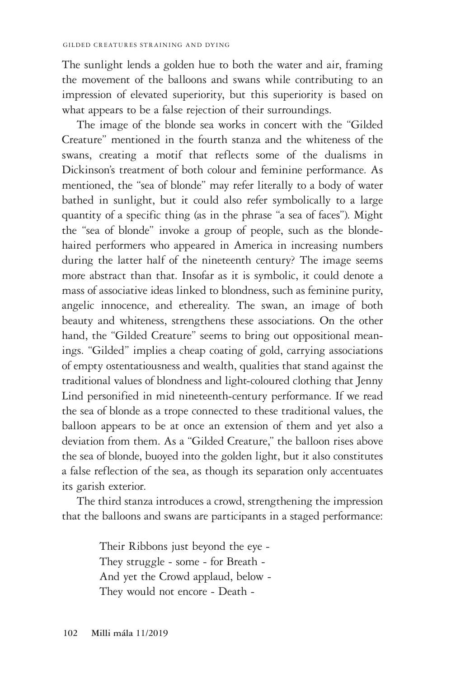The sunlight lends a golden hue to both the water and air, framing the movement of the balloons and swans while contributing to an impression of elevated superiority, but this superiority is based on what appears to be a false rejection of their surroundings.

The image of the blonde sea works in concert with the "Gilded Creature" mentioned in the fourth stanza and the whiteness of the swans, creating a motif that reflects some of the dualisms in Dickinson's treatment of both colour and feminine performance. As mentioned, the "sea of blonde" may refer literally to a body of water bathed in sunlight, but it could also refer symbolically to a large quantity of a specific thing (as in the phrase "a sea of faces"). Might the "sea of blonde" invoke a group of people, such as the blondehaired performers who appeared in America in increasing numbers during the latter half of the nineteenth century? The image seems more abstract than that. Insofar as it is symbolic, it could denote a mass of associative ideas linked to blondness, such as feminine purity, angelic innocence, and ethereality. The swan, an image of both beauty and whiteness, strengthens these associations. On the other hand, the "Gilded Creature" seems to bring out oppositional meanings. "Gilded" implies a cheap coating of gold, carrying associations of empty ostentatiousness and wealth, qualities that stand against the traditional values of blondness and light-coloured clothing that Jenny Lind personified in mid nineteenth-century performance. If we read the sea of blonde as a trope connected to these traditional values, the balloon appears to be at once an extension of them and yet also a deviation from them. As a "Gilded Creature," the balloon rises above the sea of blonde, buoyed into the golden light, but it also constitutes a false reflection of the sea, as though its separation only accentuates its garish exterior.

The third stanza introduces a crowd, strengthening the impression that the balloons and swans are participants in a staged performance:

> Their Ribbons just beyond the eye - They struggle - some - for Breath - And yet the Crowd applaud, below - They would not encore - Death -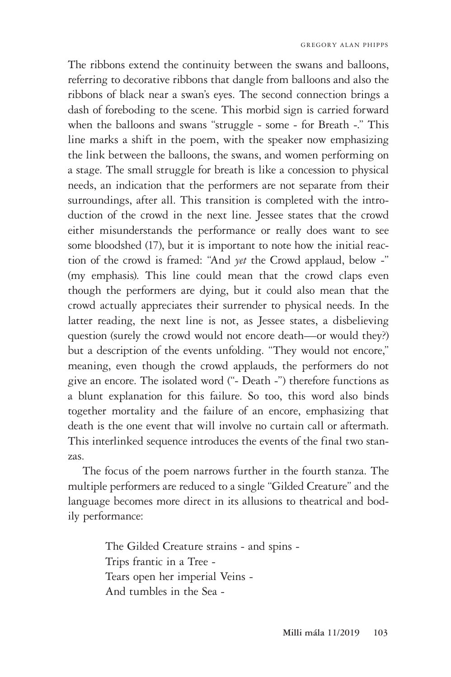The ribbons extend the continuity between the swans and balloons, referring to decorative ribbons that dangle from balloons and also the ribbons of black near a swan's eyes. The second connection brings a dash of foreboding to the scene. This morbid sign is carried forward when the balloons and swans "struggle - some - for Breath -." This line marks a shift in the poem, with the speaker now emphasizing the link between the balloons, the swans, and women performing on a stage. The small struggle for breath is like a concession to physical needs, an indication that the performers are not separate from their surroundings, after all. This transition is completed with the introduction of the crowd in the next line. Jessee states that the crowd either misunderstands the performance or really does want to see some bloodshed (17), but it is important to note how the initial reaction of the crowd is framed: "And *yet* the Crowd applaud, below -" (my emphasis). This line could mean that the crowd claps even though the performers are dying, but it could also mean that the crowd actually appreciates their surrender to physical needs. In the latter reading, the next line is not, as Jessee states, a disbelieving question (surely the crowd would not encore death—or would they?) but a description of the events unfolding. "They would not encore," meaning, even though the crowd applauds, the performers do not give an encore. The isolated word ("- Death -") therefore functions as a blunt explanation for this failure. So too, this word also binds together mortality and the failure of an encore, emphasizing that death is the one event that will involve no curtain call or aftermath. This interlinked sequence introduces the events of the final two stanzas.

The focus of the poem narrows further in the fourth stanza. The multiple performers are reduced to a single "Gilded Creature" and the language becomes more direct in its allusions to theatrical and bodily performance:

> The Gilded Creature strains - and spins - Trips frantic in a Tree - Tears open her imperial Veins - And tumbles in the Sea -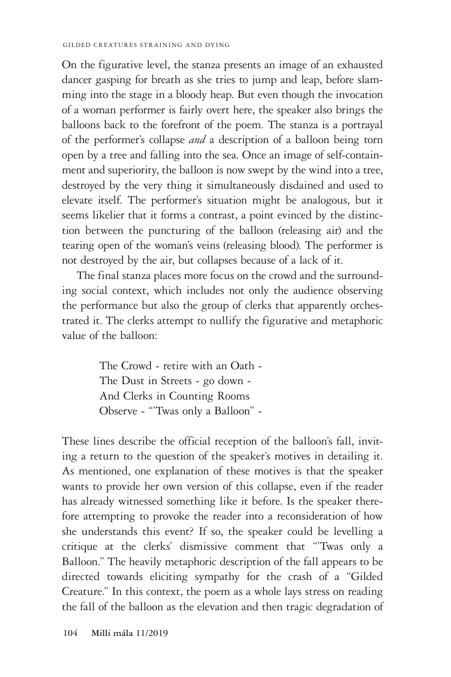On the figurative level, the stanza presents an image of an exhausted dancer gasping for breath as she tries to jump and leap, before slamming into the stage in a bloody heap. But even though the invocation of a woman performer is fairly overt here, the speaker also brings the balloons back to the forefront of the poem. The stanza is a portrayal of the performer's collapse *and* a description of a balloon being torn open by a tree and falling into the sea. Once an image of self-containment and superiority, the balloon is now swept by the wind into a tree, destroyed by the very thing it simultaneously disdained and used to elevate itself. The performer's situation might be analogous, but it seems likelier that it forms a contrast, a point evinced by the distinction between the puncturing of the balloon (releasing air) and the tearing open of the woman's veins (releasing blood). The performer is not destroyed by the air, but collapses because of a lack of it.

The final stanza places more focus on the crowd and the surrounding social context, which includes not only the audience observing the performance but also the group of clerks that apparently orchestrated it. The clerks attempt to nullify the figurative and metaphoric value of the balloon:

> The Crowd - retire with an Oath - The Dust in Streets - go down - And Clerks in Counting Rooms Observe - "'Twas only a Balloon" -

These lines describe the official reception of the balloon's fall, inviting a return to the question of the speaker's motives in detailing it. As mentioned, one explanation of these motives is that the speaker wants to provide her own version of this collapse, even if the reader has already witnessed something like it before. Is the speaker therefore attempting to provoke the reader into a reconsideration of how she understands this event? If so, the speaker could be levelling a critique at the clerks' dismissive comment that "'Twas only a Balloon." The heavily metaphoric description of the fall appears to be directed towards eliciting sympathy for the crash of a "Gilded Creature." In this context, the poem as a whole lays stress on reading the fall of the balloon as the elevation and then tragic degradation of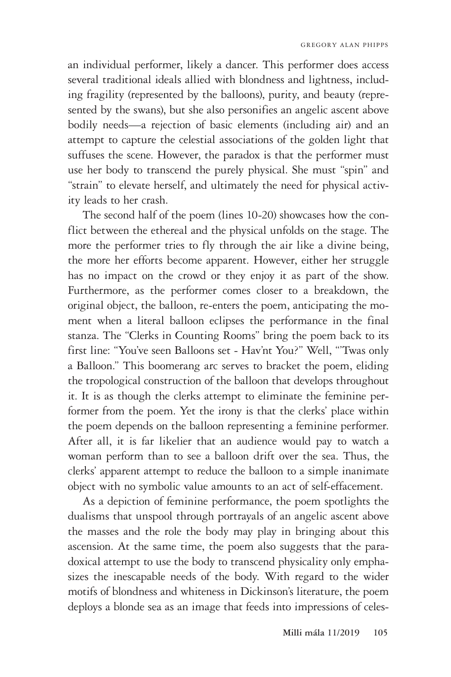an individual performer, likely a dancer. This performer does access several traditional ideals allied with blondness and lightness, including fragility (represented by the balloons), purity, and beauty (represented by the swans), but she also personifies an angelic ascent above bodily needs—a rejection of basic elements (including air) and an attempt to capture the celestial associations of the golden light that suffuses the scene. However, the paradox is that the performer must use her body to transcend the purely physical. She must "spin" and "strain" to elevate herself, and ultimately the need for physical activity leads to her crash.

The second half of the poem (lines 10-20) showcases how the conflict between the ethereal and the physical unfolds on the stage. The more the performer tries to fly through the air like a divine being, the more her efforts become apparent. However, either her struggle has no impact on the crowd or they enjoy it as part of the show. Furthermore, as the performer comes closer to a breakdown, the original object, the balloon, re-enters the poem, anticipating the moment when a literal balloon eclipses the performance in the final stanza. The "Clerks in Counting Rooms" bring the poem back to its first line: "You've seen Balloons set - Hav'nt You?" Well, "'Twas only a Balloon." This boomerang arc serves to bracket the poem, eliding the tropological construction of the balloon that develops throughout it. It is as though the clerks attempt to eliminate the feminine performer from the poem. Yet the irony is that the clerks' place within the poem depends on the balloon representing a feminine performer. After all, it is far likelier that an audience would pay to watch a woman perform than to see a balloon drift over the sea. Thus, the clerks' apparent attempt to reduce the balloon to a simple inanimate object with no symbolic value amounts to an act of self-effacement.

As a depiction of feminine performance, the poem spotlights the dualisms that unspool through portrayals of an angelic ascent above the masses and the role the body may play in bringing about this ascension. At the same time, the poem also suggests that the paradoxical attempt to use the body to transcend physicality only emphasizes the inescapable needs of the body. With regard to the wider motifs of blondness and whiteness in Dickinson's literature, the poem deploys a blonde sea as an image that feeds into impressions of celes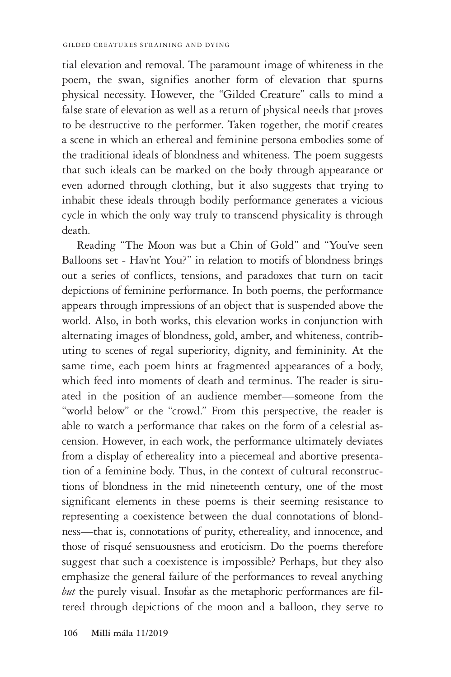tial elevation and removal. The paramount image of whiteness in the poem, the swan, signifies another form of elevation that spurns physical necessity. However, the "Gilded Creature" calls to mind a false state of elevation as well as a return of physical needs that proves to be destructive to the performer. Taken together, the motif creates a scene in which an ethereal and feminine persona embodies some of the traditional ideals of blondness and whiteness. The poem suggests that such ideals can be marked on the body through appearance or even adorned through clothing, but it also suggests that trying to inhabit these ideals through bodily performance generates a vicious cycle in which the only way truly to transcend physicality is through death.

Reading "The Moon was but a Chin of Gold" and "You've seen Balloons set - Hav'nt You?" in relation to motifs of blondness brings out a series of conflicts, tensions, and paradoxes that turn on tacit depictions of feminine performance. In both poems, the performance appears through impressions of an object that is suspended above the world. Also, in both works, this elevation works in conjunction with alternating images of blondness, gold, amber, and whiteness, contributing to scenes of regal superiority, dignity, and femininity. At the same time, each poem hints at fragmented appearances of a body, which feed into moments of death and terminus. The reader is situated in the position of an audience member—someone from the "world below" or the "crowd." From this perspective, the reader is able to watch a performance that takes on the form of a celestial ascension. However, in each work, the performance ultimately deviates from a display of ethereality into a piecemeal and abortive presentation of a feminine body. Thus, in the context of cultural reconstructions of blondness in the mid nineteenth century, one of the most significant elements in these poems is their seeming resistance to representing a coexistence between the dual connotations of blondness—that is, connotations of purity, ethereality, and innocence, and those of risqué sensuousness and eroticism. Do the poems therefore suggest that such a coexistence is impossible? Perhaps, but they also emphasize the general failure of the performances to reveal anything *but* the purely visual. Insofar as the metaphoric performances are filtered through depictions of the moon and a balloon, they serve to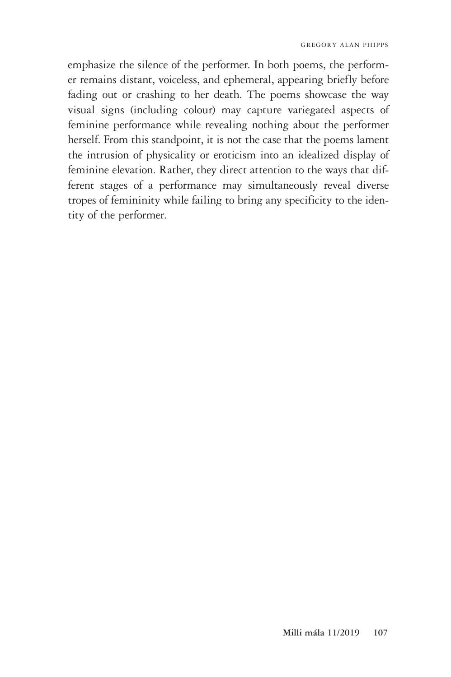emphasize the silence of the performer. In both poems, the performer remains distant, voiceless, and ephemeral, appearing briefly before fading out or crashing to her death. The poems showcase the way visual signs (including colour) may capture variegated aspects of feminine performance while revealing nothing about the performer herself. From this standpoint, it is not the case that the poems lament the intrusion of physicality or eroticism into an idealized display of feminine elevation. Rather, they direct attention to the ways that different stages of a performance may simultaneously reveal diverse tropes of femininity while failing to bring any specificity to the identity of the performer.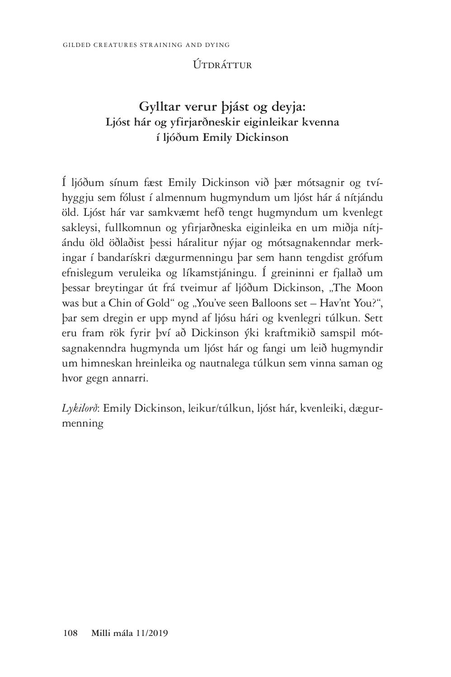### Útdráttur

## **Gylltar verur þjást og deyja: Ljóst hár og yfirjarðneskir eiginleikar kvenna í ljóðum Emily Dickinson**

Í ljóðum sínum fæst Emily Dickinson við þær mótsagnir og tvíhyggju sem fólust í almennum hugmyndum um ljóst hár á nítjándu öld. Ljóst hár var samkvæmt hefð tengt hugmyndum um kvenlegt sakleysi, fullkomnun og yfirjarðneska eiginleika en um miðja nítjándu öld öðlaðist þessi háralitur nýjar og mótsagnakenndar merkingar í bandarískri dægurmenningu þar sem hann tengdist grófum efnislegum veruleika og líkamstjáningu. Í greininni er fjallað um þessar breytingar út frá tveimur af ljóðum Dickinson, "The Moon was but a Chin of Gold" og "You've seen Balloons set – Hav'nt You?", þar sem dregin er upp mynd af ljósu hári og kvenlegri túlkun. Sett eru fram rök fyrir því að Dickinson ýki kraftmikið samspil mótsagnakenndra hugmynda um ljóst hár og fangi um leið hugmyndir um himneskan hreinleika og nautnalega túlkun sem vinna saman og hvor gegn annarri.

*Lykilorð*: Emily Dickinson, leikur/túlkun, ljóst hár, kvenleiki, dægurmenning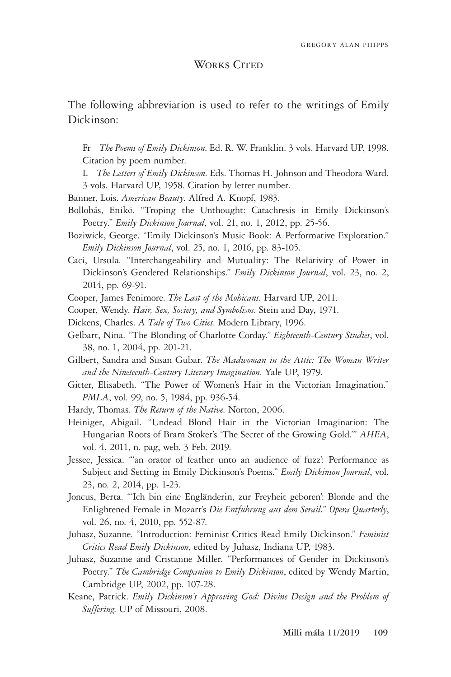#### WORKS CITED

The following abbreviation is used to refer to the writings of Emily Dickinson:

Fr *The Poems of Emily Dickinson*. Ed. R. W. Franklin. 3 vols. Harvard UP, 1998. Citation by poem number.

- L *The Letters of Emily Dickinson*. Eds. Thomas H. Johnson and Theodora Ward.
- 3 vols. Harvard UP, 1958. Citation by letter number.
- Banner, Lois. *American Beauty*. Alfred A. Knopf, 1983.
- Bollobás, Enikő. "Troping the Unthought: Catachresis in Emily Dickinson's Poetry." *Emily Dickinson Journal*, vol. 21, no. 1, 2012, pp. 25-56.
- Boziwick, George. "Emily Dickinson's Music Book: A Performative Exploration." *Emily Dickinson Journal*, vol. 25, no. 1, 2016, pp. 83-105.
- Caci, Ursula. "Interchangeability and Mutuality: The Relativity of Power in Dickinson's Gendered Relationships." *Emily Dickinson Journal*, vol. 23, no. 2, 2014, pp. 69-91.

Cooper, James Fenimore. *The Last of the Mohicans*. Harvard UP, 2011.

- Cooper, Wendy. *Hair, Sex, Society, and Symbolism*. Stein and Day, 1971.
- Dickens, Charles. *A Tale of Two Cities*. Modern Library, 1996.
- Gelbart, Nina. "The Blonding of Charlotte Corday." *Eighteenth-Century Studies*, vol. 38, no. 1, 2004, pp. 201-21.
- Gilbert, Sandra and Susan Gubar. *The Madwoman in the Attic: The Woman Writer and the Nineteenth-Century Literary Imagination*. Yale UP, 1979.
- Gitter, Elisabeth. "The Power of Women's Hair in the Victorian Imagination." *PMLA*, vol. 99, no. 5, 1984, pp. 936-54.
- Hardy, Thomas. *The Return of the Native*. Norton, 2006.
- Heiniger, Abigail. "Undead Blond Hair in the Victorian Imagination: The Hungarian Roots of Bram Stoker's 'The Secret of the Growing Gold.'" *AHEA*, vol. 4, 2011, n. pag, web. 3 Feb. 2019.
- Jessee, Jessica. "'an orator of feather unto an audience of fuzz': Performance as Subject and Setting in Emily Dickinson's Poems." *Emily Dickinson Journal*, vol. 23, no. 2, 2014, pp. 1-23.
- Joncus, Berta. "'Ich bin eine Engländerin, zur Freyheit geboren': Blonde and the Enlightened Female in Mozart's *Die Entführung aus dem Serail.*" *Opera Quarterly*, vol. 26, no. 4, 2010, pp. 552-87.
- Juhasz, Suzanne. "Introduction: Feminist Critics Read Emily Dickinson." *Feminist Critics Read Emily Dickinson*, edited by Juhasz, Indiana UP, 1983.
- Juhasz, Suzanne and Cristanne Miller. "Performances of Gender in Dickinson's Poetry." *The Cambridge Companion to Emily Dickinson*, edited by Wendy Martin, Cambridge UP, 2002, pp. 107-28.
- Keane, Patrick. *Emily Dickinson's Approving God: Divine Design and the Problem of Suffering*. UP of Missouri, 2008.